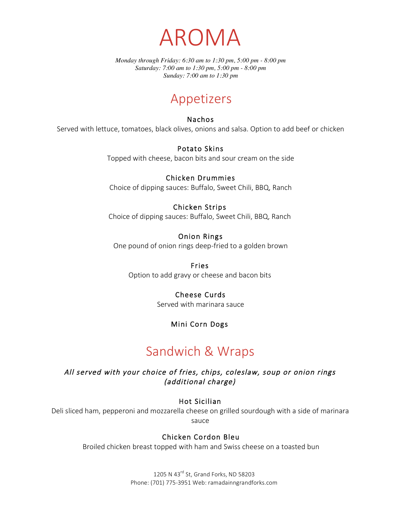

*Monday through Friday: 6:30 am to 1:30 pm, 5:00 pm - 8:00 pm Saturday: 7:00 am to 1:30 pm, 5:00 pm - 8:00 pm Sunday: 7:00 am to 1:30 pm*

## Appetizers

#### Nachos

Served with lettuce, tomatoes, black olives, onions and salsa. Option to add beef or chicken

#### Potato Skins

Topped with cheese, bacon bits and sour cream on the side

#### Chicken Drummies

Choice of dipping sauces: Buffalo, Sweet Chili, BBQ, Ranch

### Chicken Strips

Choice of dipping sauces: Buffalo, Sweet Chili, BBQ, Ranch

#### Onion Rings

One pound of onion rings deep-fried to a golden brown

#### Fries

Option to add gravy or cheese and bacon bits

### Cheese Curds

Served with marinara sauce

### Mini Corn Dogs

## Sandwich & Wraps

All served with your choice of fries, chips, coleslaw, soup or onion rings (additional charge)

#### Hot Sicilian

Deli sliced ham, pepperoni and mozzarella cheese on grilled sourdough with a side of marinara sauce

### Chicken Cordon Bleu

Broiled chicken breast topped with ham and Swiss cheese on a toasted bun

1205 N 43<sup>rd</sup> St, Grand Forks, ND 58203 Phone: (701) 775-3951 Web: ramadainngrandforks.com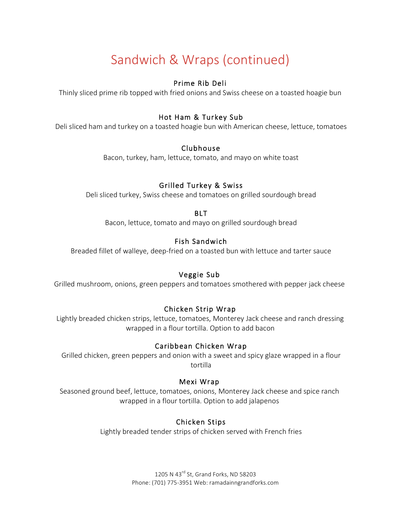# Sandwich & Wraps (continued)

### Prime Rib Deli

Thinly sliced prime rib topped with fried onions and Swiss cheese on a toasted hoagie bun

### Hot Ham & Turkey Sub

Deli sliced ham and turkey on a toasted hoagie bun with American cheese, lettuce, tomatoes

#### Clubhouse

Bacon, turkey, ham, lettuce, tomato, and mayo on white toast

### Grilled Turkey & Swiss

Deli sliced turkey, Swiss cheese and tomatoes on grilled sourdough bread

#### BLT

Bacon, lettuce, tomato and mayo on grilled sourdough bread

### Fish Sandwich

Breaded fillet of walleye, deep-fried on a toasted bun with lettuce and tarter sauce

### Veggie Sub

Grilled mushroom, onions, green peppers and tomatoes smothered with pepper jack cheese

### Chicken Strip Wrap

Lightly breaded chicken strips, lettuce, tomatoes, Monterey Jack cheese and ranch dressing wrapped in a flour tortilla. Option to add bacon

### Caribbean Chicken Wrap

Grilled chicken, green peppers and onion with a sweet and spicy glaze wrapped in a flour tortilla

#### Mexi Wrap

Seasoned ground beef, lettuce, tomatoes, onions, Monterey Jack cheese and spice ranch wrapped in a flour tortilla. Option to add jalapenos

### Chicken Stips

Lightly breaded tender strips of chicken served with French fries

1205 N 43<sup>rd</sup> St, Grand Forks, ND 58203 Phone: (701) 775-3951 Web: ramadainngrandforks.com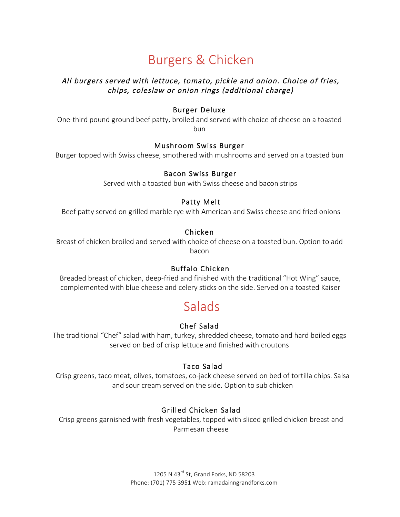# Burgers & Chicken

### All burgers served with lettuce, tomato, pickle and onion. Choice of fries, chips, coleslaw or onion rings (additional charge)

### Burger Deluxe

One-third pound ground beef patty, broiled and served with choice of cheese on a toasted bun

#### Mushroom Swiss Burger

Burger topped with Swiss cheese, smothered with mushrooms and served on a toasted bun

#### Bacon Swiss Burger

Served with a toasted bun with Swiss cheese and bacon strips

#### Patty Melt

Beef patty served on grilled marble rye with American and Swiss cheese and fried onions

### Chicken

Breast of chicken broiled and served with choice of cheese on a toasted bun. Option to add bacon

### Buffalo Chicken

Breaded breast of chicken, deep-fried and finished with the traditional "Hot Wing" sauce, complemented with blue cheese and celery sticks on the side. Served on a toasted Kaiser

## **Salads**

### Chef Salad

The traditional "Chef" salad with ham, turkey, shredded cheese, tomato and hard boiled eggs served on bed of crisp lettuce and finished with croutons

### Taco Salad

Crisp greens, taco meat, olives, tomatoes, co-jack cheese served on bed of tortilla chips. Salsa and sour cream served on the side. Option to sub chicken

### Grilled Chicken Salad

Crisp greens garnished with fresh vegetables, topped with sliced grilled chicken breast and Parmesan cheese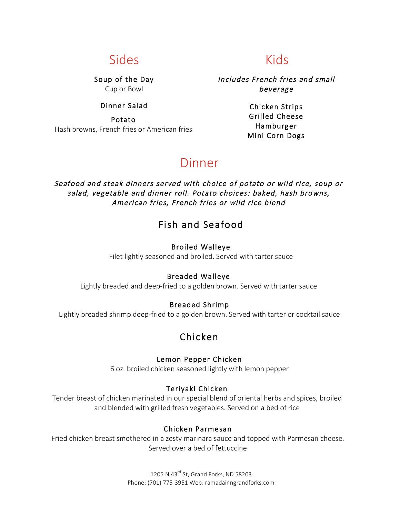## Sides

Soup of the Day Cup or Bowl

### Dinner Salad

Potato Hash browns, French fries or American fries

## Kids

Includes French fries and small beverage

> Chicken Strips Grilled Cheese Hamburger Mini Corn Dogs

## Dinner

Seafood and steak dinners served with choice of potato or wild rice, soup or salad, vegetable and dinner roll. Potato choices: baked, hash browns, American fries, French fries or wild rice blend

### Fish and Seafood

#### Broiled Walleye

Filet lightly seasoned and broiled. Served with tarter sauce

### Breaded Walleye

Lightly breaded and deep-fried to a golden brown. Served with tarter sauce

### Breaded Shrimp

Lightly breaded shrimp deep-fried to a golden brown. Served with tarter or cocktail sauce

### Chicken

#### Lemon Pepper Chicken

6 oz. broiled chicken seasoned lightly with lemon pepper

### Teriyaki Chicken

Tender breast of chicken marinated in our special blend of oriental herbs and spices, broiled and blended with grilled fresh vegetables. Served on a bed of rice

#### Chicken Parmesan

Fried chicken breast smothered in a zesty marinara sauce and topped with Parmesan cheese. Served over a bed of fettuccine

> 1205 N 43<sup>rd</sup> St, Grand Forks, ND 58203 Phone: (701) 775-3951 Web: ramadainngrandforks.com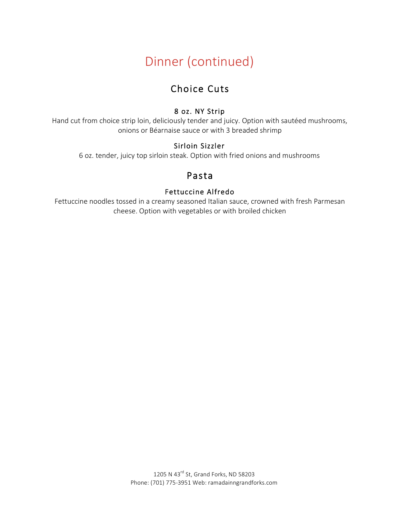# Dinner (continued)

## Choice Cuts

### 8 oz. NY Strip

Hand cut from choice strip loin, deliciously tender and juicy. Option with sautéed mushrooms, onions or Béarnaise sauce or with 3 breaded shrimp

### Sirloin Sizzler

6 oz. tender, juicy top sirloin steak. Option with fried onions and mushrooms

## Pasta

### Fettuccine Alfredo

Fettuccine noodles tossed in a creamy seasoned Italian sauce, crowned with fresh Parmesan cheese. Option with vegetables or with broiled chicken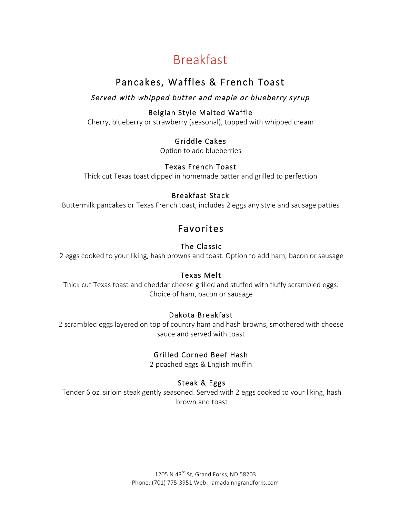# Breakfast

## Pancakes, Waffles & French Toast

### Served with whipped butter and maple or blueberry syrup

### Belgian Style Malted Waffle

Cherry, blueberry or strawberry (seasonal), topped with whipped cream

### Griddle Cakes

Option to add blueberries

### Texas French Toast

Thick cut Texas toast dipped in homemade batter and grilled to perfection

### Breakfast Stack

Buttermilk pancakes or Texas French toast, includes 2 eggs any style and sausage patties

## Favorites

### The Classic

2 eggs cooked to your liking, hash browns and toast. Option to add ham, bacon or sausage

### Texas Melt

Thick cut Texas toast and cheddar cheese grilled and stuffed with fluffy scrambled eggs. Choice of ham, bacon or sausage

### Dakota Breakfast

2 scrambled eggs layered on top of country ham and hash browns, smothered with cheese sauce and served with toast

### Grilled Corned Beef Hash

2 poached eggs & English muffin

### Steak & Eggs

Tender 6 oz. sirloin steak gently seasoned. Served with 2 eggs cooked to your liking, hash brown and toast